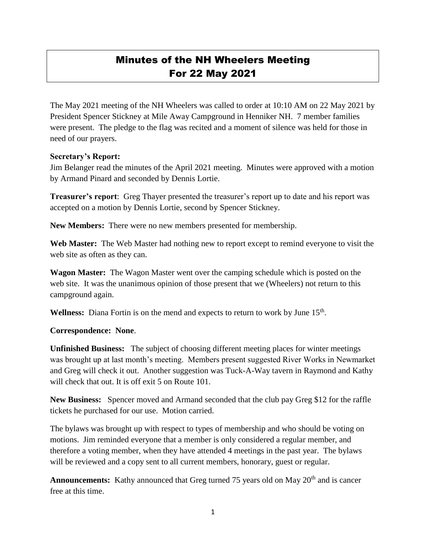## Minutes of the NH Wheelers Meeting For 22 May 2021

The May 2021 meeting of the NH Wheelers was called to order at 10:10 AM on 22 May 2021 by President Spencer Stickney at Mile Away Campground in Henniker NH. 7 member families were present. The pledge to the flag was recited and a moment of silence was held for those in need of our prayers.

## **Secretary's Report:**

Jim Belanger read the minutes of the April 2021 meeting. Minutes were approved with a motion by Armand Pinard and seconded by Dennis Lortie.

**Treasurer's report**: Greg Thayer presented the treasurer's report up to date and his report was accepted on a motion by Dennis Lortie, second by Spencer Stickney.

**New Members:** There were no new members presented for membership.

**Web Master:** The Web Master had nothing new to report except to remind everyone to visit the web site as often as they can.

**Wagon Master:** The Wagon Master went over the camping schedule which is posted on the web site. It was the unanimous opinion of those present that we (Wheelers) not return to this campground again.

Wellness: Diana Fortin is on the mend and expects to return to work by June 15<sup>th</sup>.

## **Correspondence: None**.

**Unfinished Business:** The subject of choosing different meeting places for winter meetings was brought up at last month's meeting. Members present suggested River Works in Newmarket and Greg will check it out. Another suggestion was Tuck-A-Way tavern in Raymond and Kathy will check that out. It is off exit 5 on Route 101.

**New Business:** Spencer moved and Armand seconded that the club pay Greg \$12 for the raffle tickets he purchased for our use. Motion carried.

The bylaws was brought up with respect to types of membership and who should be voting on motions. Jim reminded everyone that a member is only considered a regular member, and therefore a voting member, when they have attended 4 meetings in the past year. The bylaws will be reviewed and a copy sent to all current members, honorary, guest or regular.

Announcements: Kathy announced that Greg turned 75 years old on May 20<sup>th</sup> and is cancer free at this time.